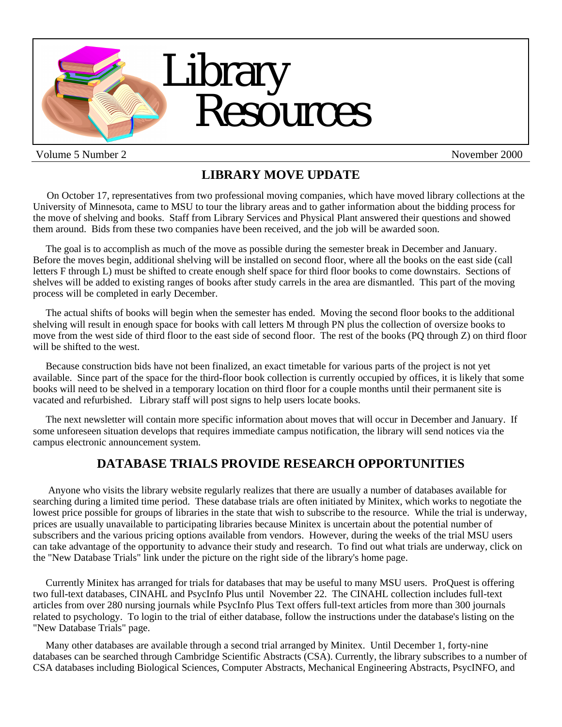

Volume 5 Number 2 november 2000

# **LIBRARY MOVE UPDATE**

 On October 17, representatives from two professional moving companies, which have moved library collections at the University of Minnesota, came to MSU to tour the library areas and to gather information about the bidding process for the move of shelving and books. Staff from Library Services and Physical Plant answered their questions and showed them around. Bids from these two companies have been received, and the job will be awarded soon.

 The goal is to accomplish as much of the move as possible during the semester break in December and January. Before the moves begin, additional shelving will be installed on second floor, where all the books on the east side (call letters F through L) must be shifted to create enough shelf space for third floor books to come downstairs. Sections of shelves will be added to existing ranges of books after study carrels in the area are dismantled. This part of the moving process will be completed in early December.

 The actual shifts of books will begin when the semester has ended. Moving the second floor books to the additional shelving will result in enough space for books with call letters M through PN plus the collection of oversize books to move from the west side of third floor to the east side of second floor. The rest of the books (PQ through Z) on third floor will be shifted to the west.

 Because construction bids have not been finalized, an exact timetable for various parts of the project is not yet available. Since part of the space for the third-floor book collection is currently occupied by offices, it is likely that some books will need to be shelved in a temporary location on third floor for a couple months until their permanent site is vacated and refurbished. Library staff will post signs to help users locate books.

 The next newsletter will contain more specific information about moves that will occur in December and January. If some unforeseen situation develops that requires immediate campus notification, the library will send notices via the campus electronic announcement system.

## **DATABASE TRIALS PROVIDE RESEARCH OPPORTUNITIES**

 Anyone who visits the library website regularly realizes that there are usually a number of databases available for searching during a limited time period. These database trials are often initiated by Minitex, which works to negotiate the lowest price possible for groups of libraries in the state that wish to subscribe to the resource. While the trial is underway, prices are usually unavailable to participating libraries because Minitex is uncertain about the potential number of subscribers and the various pricing options available from vendors. However, during the weeks of the trial MSU users can take advantage of the opportunity to advance their study and research. To find out what trials are underway, click on the "New Database Trials" link under the picture on the right side of the library's home page.

 Currently Minitex has arranged for trials for databases that may be useful to many MSU users. ProQuest is offering two full-text databases, CINAHL and PsycInfo Plus until November 22. The CINAHL collection includes full-text articles from over 280 nursing journals while PsycInfo Plus Text offers full-text articles from more than 300 journals related to psychology. To login to the trial of either database, follow the instructions under the database's listing on the "New Database Trials" page.

 Many other databases are available through a second trial arranged by Minitex. Until December 1, forty-nine databases can be searched through Cambridge Scientific Abstracts (CSA). Currently, the library subscribes to a number of CSA databases including Biological Sciences, Computer Abstracts, Mechanical Engineering Abstracts, PsycINFO, and